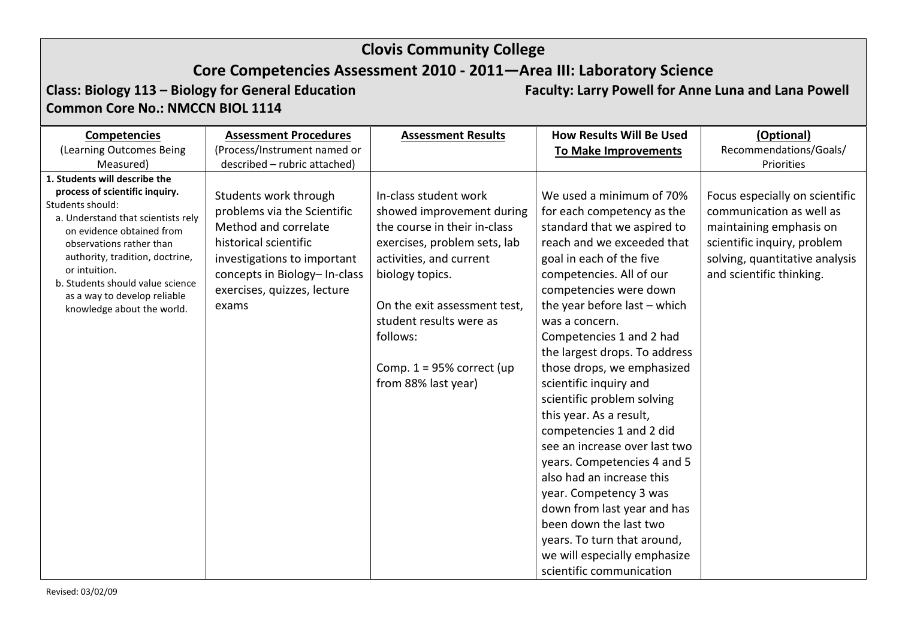## **Core Competencies Assessment 2010 - 2011—Area III: Laboratory Science**

**Class: Biology 113 – Biology for General Education Faculty: Larry Powell for Anne Luna and Lana Powell Common Core No.: NMCCN BIOL 1114**

| <b>Competencies</b>                                                                                                                                                                                                                                                                                                                      | <b>Assessment Procedures</b>                                                                                                                                                                                 | <b>Assessment Results</b>                                                                                                                                                                                                                                                                      | <b>How Results Will Be Used</b>                                                                                                                                                                                                                                                                                                                                                                                                                                                                                                                                                                                                                     | (Optional)                                                                                                                                                                         |
|------------------------------------------------------------------------------------------------------------------------------------------------------------------------------------------------------------------------------------------------------------------------------------------------------------------------------------------|--------------------------------------------------------------------------------------------------------------------------------------------------------------------------------------------------------------|------------------------------------------------------------------------------------------------------------------------------------------------------------------------------------------------------------------------------------------------------------------------------------------------|-----------------------------------------------------------------------------------------------------------------------------------------------------------------------------------------------------------------------------------------------------------------------------------------------------------------------------------------------------------------------------------------------------------------------------------------------------------------------------------------------------------------------------------------------------------------------------------------------------------------------------------------------------|------------------------------------------------------------------------------------------------------------------------------------------------------------------------------------|
| (Learning Outcomes Being                                                                                                                                                                                                                                                                                                                 | (Process/Instrument named or                                                                                                                                                                                 |                                                                                                                                                                                                                                                                                                | <b>To Make Improvements</b>                                                                                                                                                                                                                                                                                                                                                                                                                                                                                                                                                                                                                         | Recommendations/Goals/                                                                                                                                                             |
| Measured)                                                                                                                                                                                                                                                                                                                                | described - rubric attached)                                                                                                                                                                                 |                                                                                                                                                                                                                                                                                                |                                                                                                                                                                                                                                                                                                                                                                                                                                                                                                                                                                                                                                                     | Priorities                                                                                                                                                                         |
| 1. Students will describe the<br>process of scientific inquiry.<br>Students should:<br>a. Understand that scientists rely<br>on evidence obtained from<br>observations rather than<br>authority, tradition, doctrine,<br>or intuition.<br>b. Students should value science<br>as a way to develop reliable<br>knowledge about the world. | Students work through<br>problems via the Scientific<br>Method and correlate<br>historical scientific<br>investigations to important<br>concepts in Biology-In-class<br>exercises, quizzes, lecture<br>exams | In-class student work<br>showed improvement during<br>the course in their in-class<br>exercises, problem sets, lab<br>activities, and current<br>biology topics.<br>On the exit assessment test,<br>student results were as<br>follows:<br>Comp. $1 = 95\%$ correct (up<br>from 88% last year) | We used a minimum of 70%<br>for each competency as the<br>standard that we aspired to<br>reach and we exceeded that<br>goal in each of the five<br>competencies. All of our<br>competencies were down<br>the year before last $-$ which<br>was a concern.<br>Competencies 1 and 2 had<br>the largest drops. To address<br>those drops, we emphasized<br>scientific inquiry and<br>scientific problem solving<br>this year. As a result,<br>competencies 1 and 2 did<br>see an increase over last two<br>years. Competencies 4 and 5<br>also had an increase this<br>year. Competency 3 was<br>down from last year and has<br>been down the last two | Focus especially on scientific<br>communication as well as<br>maintaining emphasis on<br>scientific inquiry, problem<br>solving, quantitative analysis<br>and scientific thinking. |
|                                                                                                                                                                                                                                                                                                                                          |                                                                                                                                                                                                              |                                                                                                                                                                                                                                                                                                | years. To turn that around,<br>we will especially emphasize<br>scientific communication                                                                                                                                                                                                                                                                                                                                                                                                                                                                                                                                                             |                                                                                                                                                                                    |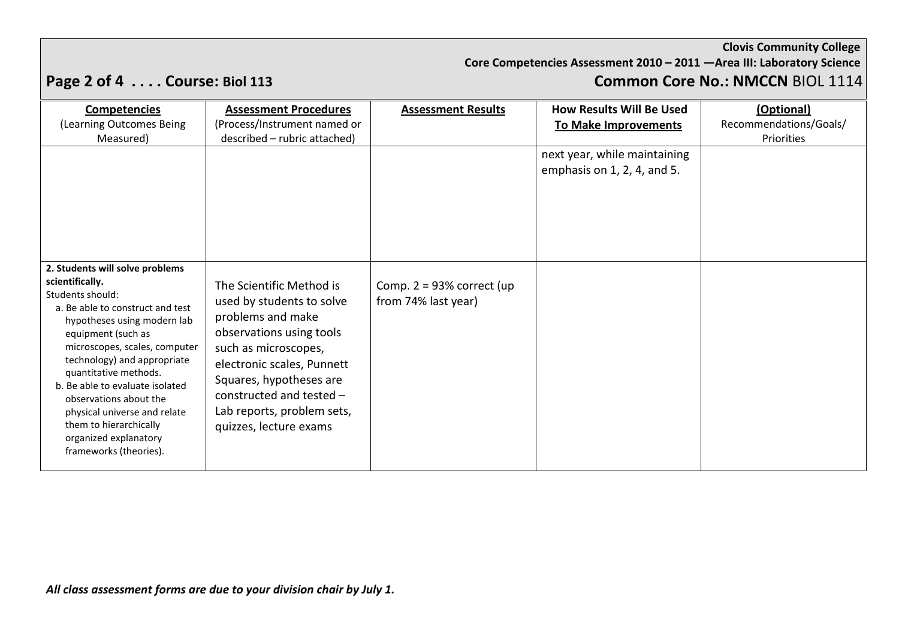**Core Competencies Assessment 2010 – 2011 —Area III: Laboratory Science**

# **Page 2 of 4 . . . . Course: Biol 113 Common Core No.: NMCCN** BIOL 1114

| <b>Competencies</b><br>(Learning Outcomes Being<br>Measured)                                                                                                                                                                                                                                                                                                                                                                       | <b>Assessment Procedures</b><br>(Process/Instrument named or<br>described - rubric attached)                                                                                                                                                                                | <b>Assessment Results</b>                           | <b>How Results Will Be Used</b><br><b>To Make Improvements</b> | (Optional)<br>Recommendations/Goals/<br>Priorities |
|------------------------------------------------------------------------------------------------------------------------------------------------------------------------------------------------------------------------------------------------------------------------------------------------------------------------------------------------------------------------------------------------------------------------------------|-----------------------------------------------------------------------------------------------------------------------------------------------------------------------------------------------------------------------------------------------------------------------------|-----------------------------------------------------|----------------------------------------------------------------|----------------------------------------------------|
| 2. Students will solve problems<br>scientifically.<br>Students should:<br>a. Be able to construct and test<br>hypotheses using modern lab<br>equipment (such as<br>microscopes, scales, computer<br>technology) and appropriate<br>quantitative methods.<br>b. Be able to evaluate isolated<br>observations about the<br>physical universe and relate<br>them to hierarchically<br>organized explanatory<br>frameworks (theories). | The Scientific Method is<br>used by students to solve<br>problems and make<br>observations using tools<br>such as microscopes,<br>electronic scales, Punnett<br>Squares, hypotheses are<br>constructed and tested -<br>Lab reports, problem sets,<br>quizzes, lecture exams | Comp. $2 = 93\%$ correct (up<br>from 74% last year) | next year, while maintaining<br>emphasis on 1, 2, 4, and 5.    |                                                    |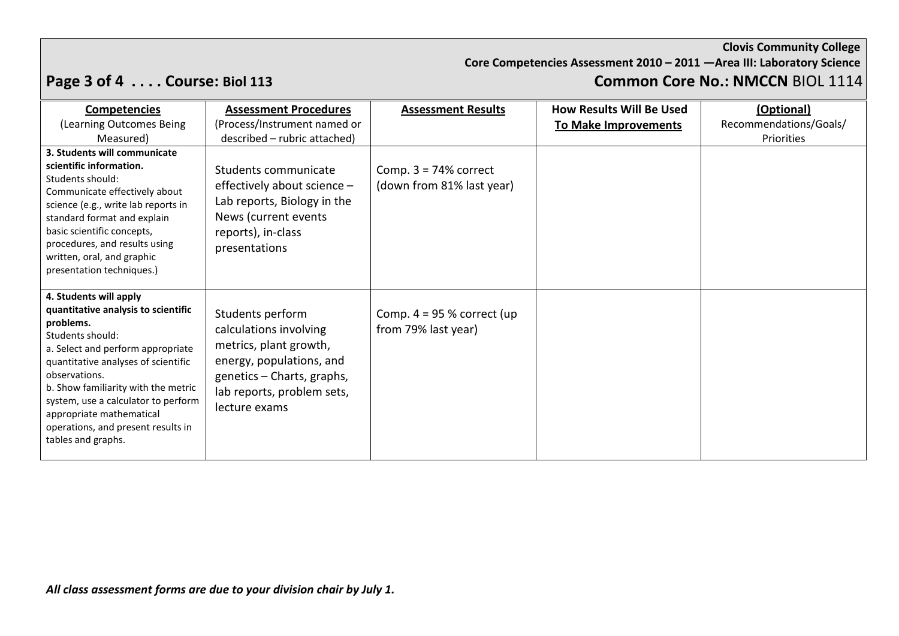**Core Competencies Assessment 2010 – 2011 —Area III: Laboratory Science**

# **Page 3 of 4 . . . . Course: Biol 113 Common Core No.: NMCCN** BIOL 1114

| <b>Competencies</b>                                                                                                                                                                                                                                                                                                                                               | <b>Assessment Procedures</b>                                                                                                                                                  | <b>Assessment Results</b>                            | <b>How Results Will Be Used</b> | (Optional)             |
|-------------------------------------------------------------------------------------------------------------------------------------------------------------------------------------------------------------------------------------------------------------------------------------------------------------------------------------------------------------------|-------------------------------------------------------------------------------------------------------------------------------------------------------------------------------|------------------------------------------------------|---------------------------------|------------------------|
| (Learning Outcomes Being                                                                                                                                                                                                                                                                                                                                          | (Process/Instrument named or                                                                                                                                                  |                                                      | <b>To Make Improvements</b>     | Recommendations/Goals/ |
| Measured)                                                                                                                                                                                                                                                                                                                                                         | described - rubric attached)                                                                                                                                                  |                                                      |                                 | Priorities             |
| 3. Students will communicate<br>scientific information.<br>Students should:<br>Communicate effectively about<br>science (e.g., write lab reports in<br>standard format and explain<br>basic scientific concepts,<br>procedures, and results using<br>written, oral, and graphic<br>presentation techniques.)                                                      | Students communicate<br>effectively about science -<br>Lab reports, Biology in the<br>News (current events)<br>reports), in-class<br>presentations                            | Comp. $3 = 74%$ correct<br>(down from 81% last year) |                                 |                        |
| 4. Students will apply<br>quantitative analysis to scientific<br>problems.<br>Students should:<br>a. Select and perform appropriate<br>quantitative analyses of scientific<br>observations.<br>b. Show familiarity with the metric<br>system, use a calculator to perform<br>appropriate mathematical<br>operations, and present results in<br>tables and graphs. | Students perform<br>calculations involving<br>metrics, plant growth,<br>energy, populations, and<br>genetics - Charts, graphs,<br>lab reports, problem sets,<br>lecture exams | Comp. $4 = 95$ % correct (up<br>from 79% last year)  |                                 |                        |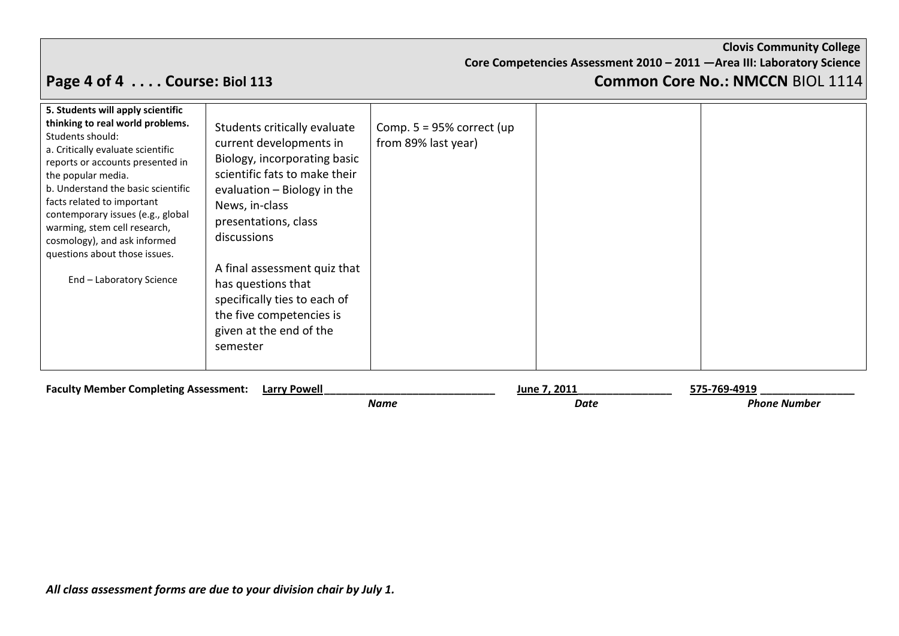**Core Competencies Assessment 2010 – 2011 —Area III: Laboratory Science**

## **Page 4 of 4 . . . . Course: Biol 113 Common Core No.: NMCCN** BIOL 1114

| 5. Students will apply scientific<br>thinking to real world problems.<br>Students should:<br>a. Critically evaluate scientific<br>reports or accounts presented in<br>the popular media.<br>b. Understand the basic scientific<br>facts related to important<br>contemporary issues (e.g., global<br>warming, stem cell research,<br>cosmology), and ask informed<br>questions about those issues.<br>End - Laboratory Science | Students critically evaluate<br>current developments in<br>Biology, incorporating basic<br>scientific fats to make their<br>evaluation - Biology in the<br>News, in-class<br>presentations, class<br>discussions<br>A final assessment quiz that<br>has questions that<br>specifically ties to each of<br>the five competencies is<br>given at the end of the<br>semester | Comp. $5 = 95\%$ correct (up<br>from 89% last year) |                      |                                     |
|--------------------------------------------------------------------------------------------------------------------------------------------------------------------------------------------------------------------------------------------------------------------------------------------------------------------------------------------------------------------------------------------------------------------------------|---------------------------------------------------------------------------------------------------------------------------------------------------------------------------------------------------------------------------------------------------------------------------------------------------------------------------------------------------------------------------|-----------------------------------------------------|----------------------|-------------------------------------|
| <b>Faculty Member Completing Assessment:</b>                                                                                                                                                                                                                                                                                                                                                                                   | Larry Powell                                                                                                                                                                                                                                                                                                                                                              | <b>Name</b>                                         | June 7, 2011<br>Date | 575-769-4919<br><b>Phone Number</b> |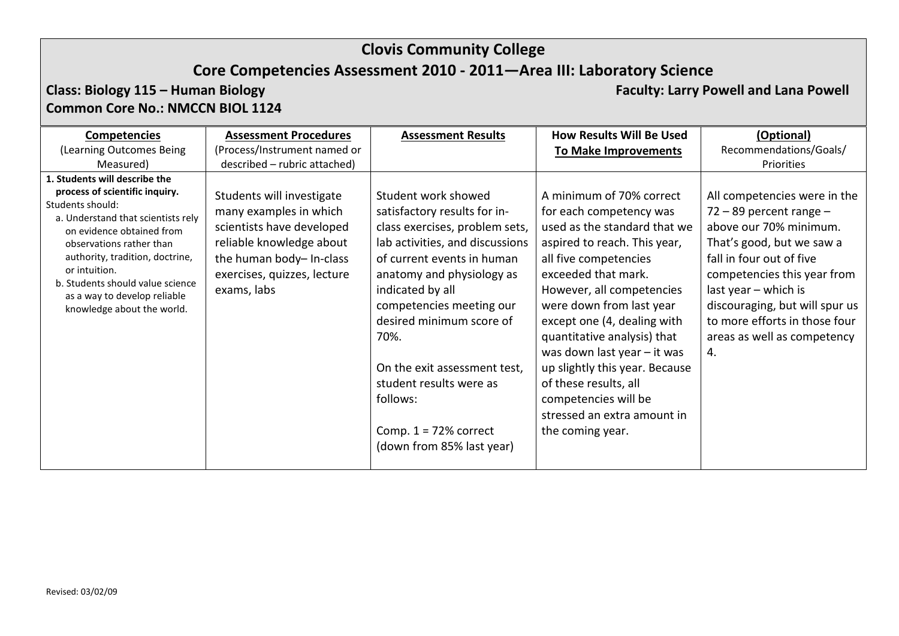## **Core Competencies Assessment 2010 - 2011—Area III: Laboratory Science**

### **Class: Biology 115 – Human Biology <b>Faculty: Larry Powell** and Lana Powell **Common Core No.: NMCCN BIOL 1124**

| <b>Competencies</b>                                                                                                                                                                                                                                                                                                                      | <b>Assessment Procedures</b>                                                                                                                                                           | <b>Assessment Results</b>                                                                                                                                                                                                                                                                                                                                                                              | <b>How Results Will Be Used</b>                                                                                                                                                                                                                                                                                                                                                                                                                                 | (Optional)                                                                                                                                                                                                                                                                                                      |
|------------------------------------------------------------------------------------------------------------------------------------------------------------------------------------------------------------------------------------------------------------------------------------------------------------------------------------------|----------------------------------------------------------------------------------------------------------------------------------------------------------------------------------------|--------------------------------------------------------------------------------------------------------------------------------------------------------------------------------------------------------------------------------------------------------------------------------------------------------------------------------------------------------------------------------------------------------|-----------------------------------------------------------------------------------------------------------------------------------------------------------------------------------------------------------------------------------------------------------------------------------------------------------------------------------------------------------------------------------------------------------------------------------------------------------------|-----------------------------------------------------------------------------------------------------------------------------------------------------------------------------------------------------------------------------------------------------------------------------------------------------------------|
| (Learning Outcomes Being                                                                                                                                                                                                                                                                                                                 | (Process/Instrument named or                                                                                                                                                           |                                                                                                                                                                                                                                                                                                                                                                                                        | <b>To Make Improvements</b>                                                                                                                                                                                                                                                                                                                                                                                                                                     | Recommendations/Goals/                                                                                                                                                                                                                                                                                          |
| Measured)                                                                                                                                                                                                                                                                                                                                | described - rubric attached)                                                                                                                                                           |                                                                                                                                                                                                                                                                                                                                                                                                        |                                                                                                                                                                                                                                                                                                                                                                                                                                                                 | Priorities                                                                                                                                                                                                                                                                                                      |
| 1. Students will describe the<br>process of scientific inquiry.<br>Students should:<br>a. Understand that scientists rely<br>on evidence obtained from<br>observations rather than<br>authority, tradition, doctrine,<br>or intuition.<br>b. Students should value science<br>as a way to develop reliable<br>knowledge about the world. | Students will investigate<br>many examples in which<br>scientists have developed<br>reliable knowledge about<br>the human body- In-class<br>exercises, quizzes, lecture<br>exams, labs | Student work showed<br>satisfactory results for in-<br>class exercises, problem sets,<br>lab activities, and discussions<br>of current events in human<br>anatomy and physiology as<br>indicated by all<br>competencies meeting our<br>desired minimum score of<br>70%.<br>On the exit assessment test,<br>student results were as<br>follows:<br>Comp. $1 = 72%$ correct<br>(down from 85% last year) | A minimum of 70% correct<br>for each competency was<br>used as the standard that we<br>aspired to reach. This year,<br>all five competencies<br>exceeded that mark.<br>However, all competencies<br>were down from last year<br>except one (4, dealing with<br>quantitative analysis) that<br>was down last year - it was<br>up slightly this year. Because<br>of these results, all<br>competencies will be<br>stressed an extra amount in<br>the coming year. | All competencies were in the<br>$72 - 89$ percent range $-$<br>above our 70% minimum.<br>That's good, but we saw a<br>fall in four out of five<br>competencies this year from<br>last year $-$ which is<br>discouraging, but will spur us<br>to more efforts in those four<br>areas as well as competency<br>4. |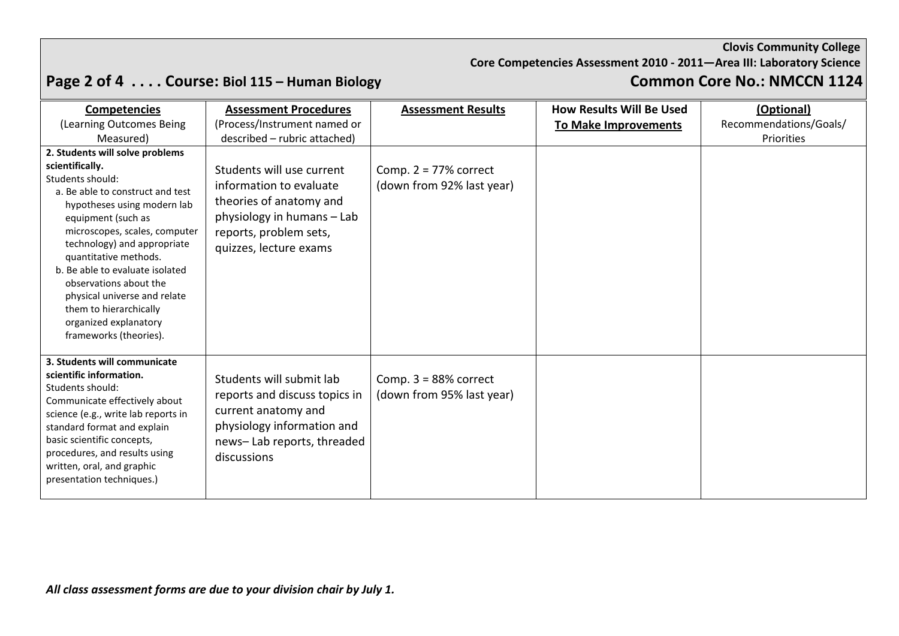**Core Competencies Assessment 2010 - 2011—Area III: Laboratory Science**

# Page 2 of 4 . . . . Course: Biol 115 – Human Biology **Common Core No.: NMCCN 1124**

| <b>Competencies</b><br>(Learning Outcomes Being<br>Measured)                                                                                                                                                                                                                                                                                                                                                                       | <b>Assessment Procedures</b><br>(Process/Instrument named or<br>described - rubric attached)                                                                      | <b>Assessment Results</b>                             | <b>How Results Will Be Used</b><br><b>To Make Improvements</b> | (Optional)<br>Recommendations/Goals/<br>Priorities |
|------------------------------------------------------------------------------------------------------------------------------------------------------------------------------------------------------------------------------------------------------------------------------------------------------------------------------------------------------------------------------------------------------------------------------------|-------------------------------------------------------------------------------------------------------------------------------------------------------------------|-------------------------------------------------------|----------------------------------------------------------------|----------------------------------------------------|
| 2. Students will solve problems<br>scientifically.<br>Students should:<br>a. Be able to construct and test<br>hypotheses using modern lab<br>equipment (such as<br>microscopes, scales, computer<br>technology) and appropriate<br>quantitative methods.<br>b. Be able to evaluate isolated<br>observations about the<br>physical universe and relate<br>them to hierarchically<br>organized explanatory<br>frameworks (theories). | Students will use current<br>information to evaluate<br>theories of anatomy and<br>physiology in humans - Lab<br>reports, problem sets,<br>quizzes, lecture exams | Comp. $2 = 77\%$ correct<br>(down from 92% last year) |                                                                |                                                    |
| 3. Students will communicate<br>scientific information.<br>Students should:<br>Communicate effectively about<br>science (e.g., write lab reports in<br>standard format and explain<br>basic scientific concepts,<br>procedures, and results using<br>written, oral, and graphic<br>presentation techniques.)                                                                                                                       | Students will submit lab<br>reports and discuss topics in<br>current anatomy and<br>physiology information and<br>news-Lab reports, threaded<br>discussions       | Comp. $3 = 88%$ correct<br>(down from 95% last year)  |                                                                |                                                    |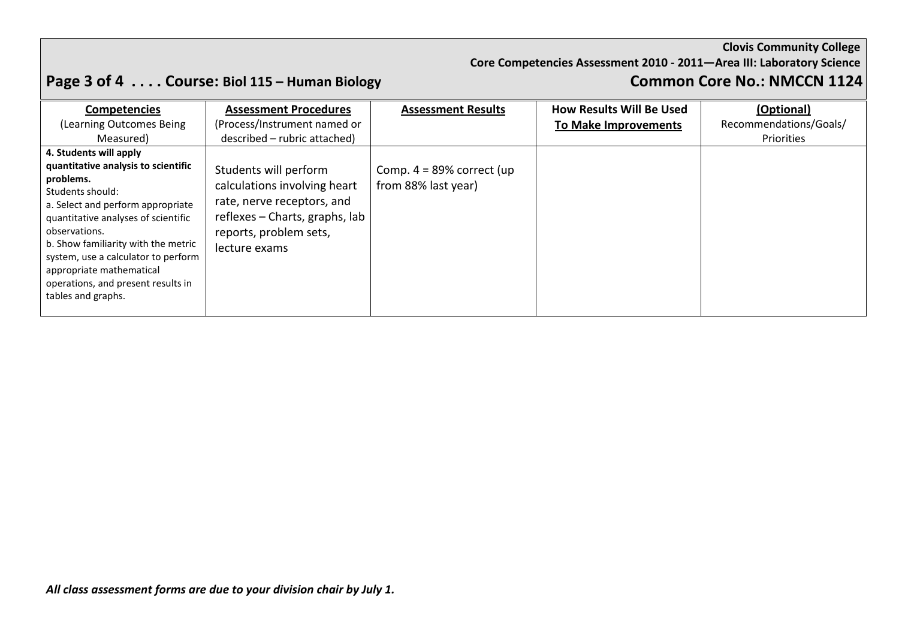**Core Competencies Assessment 2010 - 2011—Area III: Laboratory Science**

# Page 3 of 4 . . . . Course: Biol 115 – Human Biology **Common Core No.: NMCCN 1124**

| <b>Competencies</b>                                                                                                                                                                                                                                                                                                                                               | <b>Assessment Procedures</b>                                                                                                                                     | <b>Assessment Results</b>                           | <b>How Results Will Be Used</b> | (Optional)             |
|-------------------------------------------------------------------------------------------------------------------------------------------------------------------------------------------------------------------------------------------------------------------------------------------------------------------------------------------------------------------|------------------------------------------------------------------------------------------------------------------------------------------------------------------|-----------------------------------------------------|---------------------------------|------------------------|
| (Learning Outcomes Being                                                                                                                                                                                                                                                                                                                                          | (Process/Instrument named or                                                                                                                                     |                                                     | <b>To Make Improvements</b>     | Recommendations/Goals/ |
| Measured)                                                                                                                                                                                                                                                                                                                                                         | described – rubric attached)                                                                                                                                     |                                                     |                                 | Priorities             |
| 4. Students will apply<br>quantitative analysis to scientific<br>problems.<br>Students should:<br>a. Select and perform appropriate<br>quantitative analyses of scientific<br>observations.<br>b. Show familiarity with the metric<br>system, use a calculator to perform<br>appropriate mathematical<br>operations, and present results in<br>tables and graphs. | Students will perform<br>calculations involving heart<br>rate, nerve receptors, and<br>reflexes – Charts, graphs, lab<br>reports, problem sets,<br>lecture exams | Comp. $4 = 89\%$ correct (up<br>from 88% last year) |                                 |                        |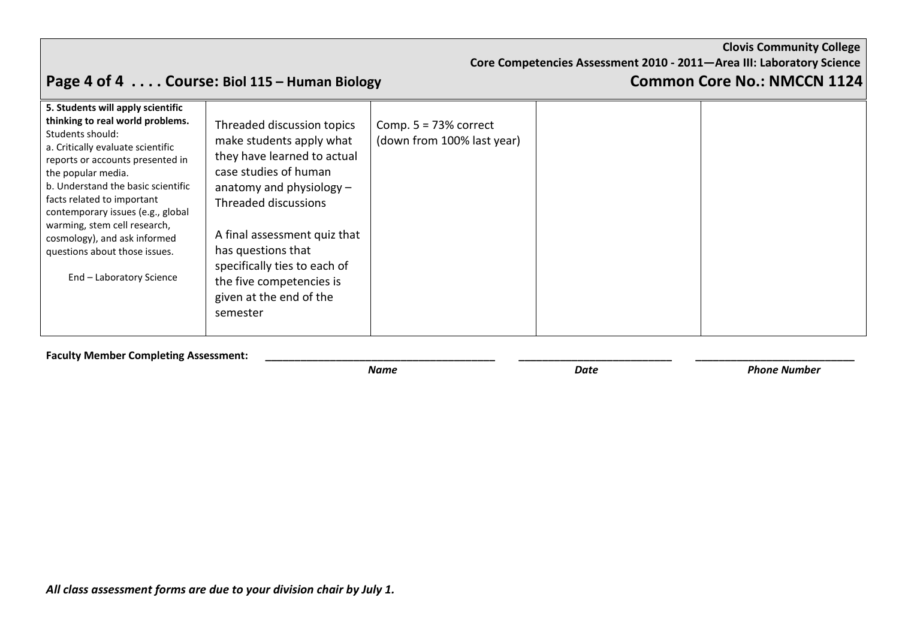**Core Competencies Assessment 2010 - 2011—Area III: Laboratory Science**

# **Page 4 of 4 . . . . Course: Biol 115 – Human Biology Common Core No.: NMCCN 1124**

| 5. Students will apply scientific<br>thinking to real world problems.<br>Students should:<br>a. Critically evaluate scientific<br>reports or accounts presented in<br>the popular media.<br>b. Understand the basic scientific<br>facts related to important<br>contemporary issues (e.g., global<br>warming, stem cell research,<br>cosmology), and ask informed<br>questions about those issues.<br>End - Laboratory Science | Threaded discussion topics<br>make students apply what<br>they have learned to actual<br>case studies of human<br>anatomy and physiology $-$<br>Threaded discussions<br>A final assessment quiz that<br>has questions that<br>specifically ties to each of<br>the five competencies is<br>given at the end of the<br>semester | Comp. $5 = 73%$ correct<br>(down from 100% last year) |  |  |
|--------------------------------------------------------------------------------------------------------------------------------------------------------------------------------------------------------------------------------------------------------------------------------------------------------------------------------------------------------------------------------------------------------------------------------|-------------------------------------------------------------------------------------------------------------------------------------------------------------------------------------------------------------------------------------------------------------------------------------------------------------------------------|-------------------------------------------------------|--|--|
|--------------------------------------------------------------------------------------------------------------------------------------------------------------------------------------------------------------------------------------------------------------------------------------------------------------------------------------------------------------------------------------------------------------------------------|-------------------------------------------------------------------------------------------------------------------------------------------------------------------------------------------------------------------------------------------------------------------------------------------------------------------------------|-------------------------------------------------------|--|--|

**Faculty Member Completing Assessment: Lacture 2018 Name**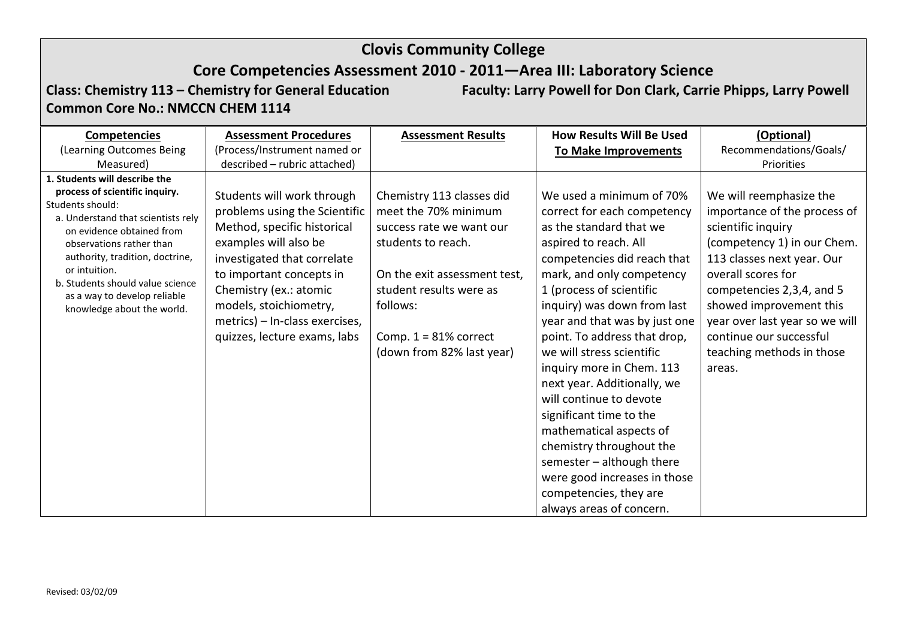## **Core Competencies Assessment 2010 - 2011—Area III: Laboratory Science**

**Common Core No.: NMCCN CHEM 1114**

**Class: Chemistry 113 – Chemistry for General Education Faculty: Larry Powell for Don Clark, Carrie Phipps, Larry Powell**

(Learning Outcomes Being Measured) **Competencies** (Process/Instrument named or described – rubric attached) **Assessment Procedures Assessment Results How Results Will Be Used To Make Improvements Recommendations/Goals/ (Optional)** Priorities **1. Students will describe the process of scientific inquiry.**  Students should: a. Understand that scientists rely on evidence obtained from observations rather than authority, tradition, doctrine, or intuition. b. Students should value science as a way to develop reliable knowledge about the world. Students will work through problems using the Scientific Method, specific historical examples will also be investigated that correlate to important concepts in Chemistry (ex.: atomic models, stoichiometry, metrics) – In-class exercises, quizzes, lecture exams, labs Chemistry 113 classes did meet the 70% minimum success rate we want our students to reach. On the exit assessment test, student results were as follows: Comp. 1 = 81% correct (down from 82% last year) We used a minimum of 70% correct for each competency as the standard that we aspired to reach. All competencies did reach that mark, and only competency 1 (process of scientific inquiry) was down from last year and that was by just one point. To address that drop, we will stress scientific inquiry more in Chem. 113 next year. Additionally, we will continue to devote significant time to the mathematical aspects of chemistry throughout the semester – although there were good increases in those competencies, they are always areas of concern. We will reemphasize the importance of the process of scientific inquiry (competency 1) in our Chem. 113 classes next year. Our overall scores for competencies 2,3,4, and 5 showed improvement this year over last year so we will continue our successful teaching methods in those areas.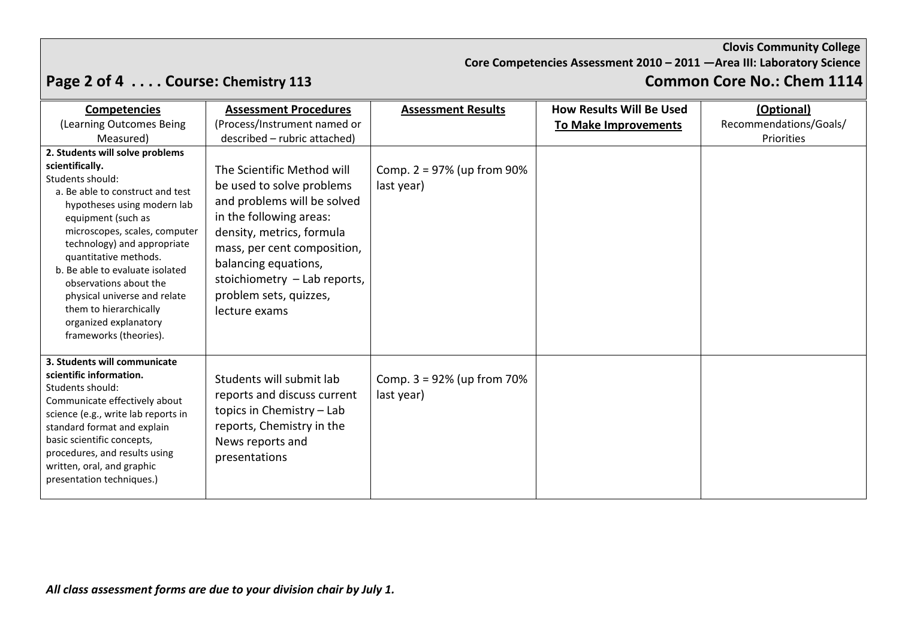**Core Competencies Assessment 2010 – 2011 —Area III: Laboratory Science**

# **Page 2 of 4 . . . . Course: Chemistry 113 Common Core No.: Chem 1114**

| <b>Competencies</b>                                                                                                                                                                                                                                                                                                                                                                                                                | <b>Assessment Procedures</b>                                                                                                                                                                                                                                                     | <b>Assessment Results</b>                   | <b>How Results Will Be Used</b> | (Optional)             |
|------------------------------------------------------------------------------------------------------------------------------------------------------------------------------------------------------------------------------------------------------------------------------------------------------------------------------------------------------------------------------------------------------------------------------------|----------------------------------------------------------------------------------------------------------------------------------------------------------------------------------------------------------------------------------------------------------------------------------|---------------------------------------------|---------------------------------|------------------------|
| (Learning Outcomes Being                                                                                                                                                                                                                                                                                                                                                                                                           | (Process/Instrument named or                                                                                                                                                                                                                                                     |                                             | <b>To Make Improvements</b>     | Recommendations/Goals/ |
| Measured)                                                                                                                                                                                                                                                                                                                                                                                                                          | described - rubric attached)                                                                                                                                                                                                                                                     |                                             |                                 | Priorities             |
| 2. Students will solve problems<br>scientifically.<br>Students should:<br>a. Be able to construct and test<br>hypotheses using modern lab<br>equipment (such as<br>microscopes, scales, computer<br>technology) and appropriate<br>quantitative methods.<br>b. Be able to evaluate isolated<br>observations about the<br>physical universe and relate<br>them to hierarchically<br>organized explanatory<br>frameworks (theories). | The Scientific Method will<br>be used to solve problems<br>and problems will be solved<br>in the following areas:<br>density, metrics, formula<br>mass, per cent composition,<br>balancing equations,<br>stoichiometry - Lab reports,<br>problem sets, quizzes,<br>lecture exams | Comp. $2 = 97\%$ (up from 90%<br>last year) |                                 |                        |
| 3. Students will communicate<br>scientific information.<br>Students should:<br>Communicate effectively about<br>science (e.g., write lab reports in<br>standard format and explain<br>basic scientific concepts,<br>procedures, and results using<br>written, oral, and graphic<br>presentation techniques.)                                                                                                                       | Students will submit lab<br>reports and discuss current<br>topics in Chemistry - Lab<br>reports, Chemistry in the<br>News reports and<br>presentations                                                                                                                           | Comp. $3 = 92\%$ (up from 70%<br>last year) |                                 |                        |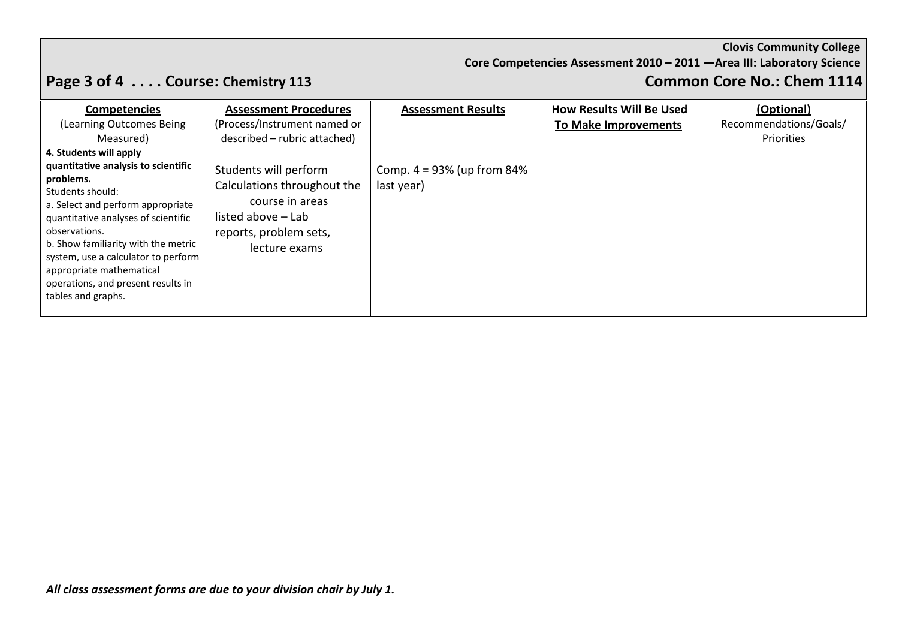**Core Competencies Assessment 2010 – 2011 —Area III: Laboratory Science**

# **Page 3 of 4 . . . . Course: Chemistry 113 Common Core No.: Chem 1114**

| <b>Competencies</b><br>(Learning Outcomes Being)<br>Measured)                                                                                                                                                                                                                                                                                                     | <b>Assessment Procedures</b><br>(Process/Instrument named or<br>described – rubric attached)                                             | <b>Assessment Results</b>                   | <b>How Results Will Be Used</b><br><b>To Make Improvements</b> | (Optional)<br>Recommendations/Goals/<br>Priorities |
|-------------------------------------------------------------------------------------------------------------------------------------------------------------------------------------------------------------------------------------------------------------------------------------------------------------------------------------------------------------------|------------------------------------------------------------------------------------------------------------------------------------------|---------------------------------------------|----------------------------------------------------------------|----------------------------------------------------|
| 4. Students will apply<br>quantitative analysis to scientific<br>problems.<br>Students should:<br>a. Select and perform appropriate<br>quantitative analyses of scientific<br>observations.<br>b. Show familiarity with the metric<br>system, use a calculator to perform<br>appropriate mathematical<br>operations, and present results in<br>tables and graphs. | Students will perform<br>Calculations throughout the<br>course in areas<br>listed above – Lab<br>reports, problem sets,<br>lecture exams | Comp. $4 = 93\%$ (up from 84%<br>last year) |                                                                |                                                    |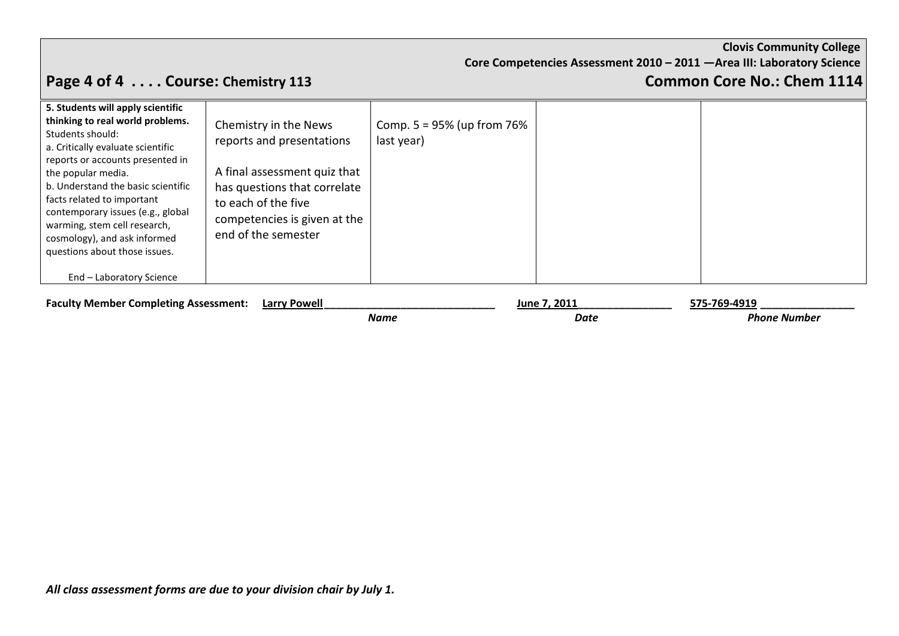**Core Competencies Assessment 2010 – 2011 —Area III: Laboratory Science**

# **Page 4 of 4 . . . . Course: Chemistry 113 Common Core No.: Chem 1114**

| thinking to real world problems.<br>Students should:<br>a. Critically evaluate scientific<br>reports or accounts presented in<br>the popular media.<br>b. Understand the basic scientific<br>facts related to important<br>contemporary issues (e.g., global<br>warming, stem cell research,<br>cosmology), and ask informed<br>questions about those issues. | Chemistry in the News<br>reports and presentations<br>A final assessment quiz that<br>has questions that correlate<br>to each of the five<br>competencies is given at the<br>end of the semester | Comp. $5 = 95%$ (up from 76%<br>last year) |  |
|---------------------------------------------------------------------------------------------------------------------------------------------------------------------------------------------------------------------------------------------------------------------------------------------------------------------------------------------------------------|--------------------------------------------------------------------------------------------------------------------------------------------------------------------------------------------------|--------------------------------------------|--|
| End - Laboratory Science                                                                                                                                                                                                                                                                                                                                      |                                                                                                                                                                                                  |                                            |  |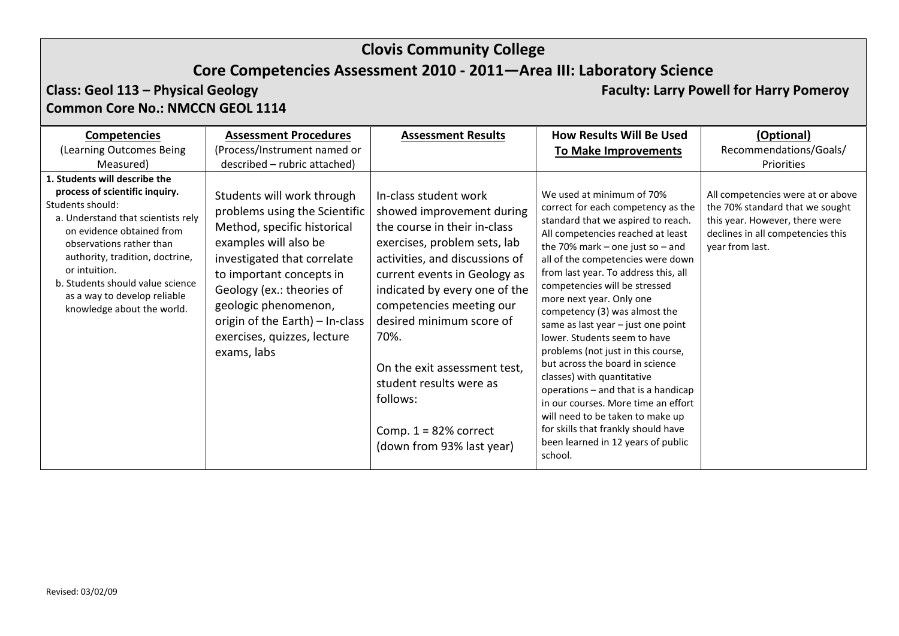## **Core Competencies Assessment 2010 - 2011—Area III: Laboratory Science**

### **Class: Geol 113 – Physical Geology Faculty: Larry Powell for Harry Pomeroy Common Core No.: NMCCN GEOL 1114**

| <b>Competencies</b><br>(Learning Outcomes Being<br>Measured)                                                                                                                                                                                                                                                                             | <b>Assessment Procedures</b><br>(Process/Instrument named or<br>described - rubric attached)                                                                                                                                                                                                                         | <b>Assessment Results</b>                                                                                                                                                                                                                                                                                                                                                                                            | <b>How Results Will Be Used</b><br><b>To Make Improvements</b>                                                                                                                                                                                                                                                                                                                                                                                                                                                                                                                                                                                                                                                                                   | (Optional)<br>Recommendations/Goals/<br>Priorities                                                                                                             |
|------------------------------------------------------------------------------------------------------------------------------------------------------------------------------------------------------------------------------------------------------------------------------------------------------------------------------------------|----------------------------------------------------------------------------------------------------------------------------------------------------------------------------------------------------------------------------------------------------------------------------------------------------------------------|----------------------------------------------------------------------------------------------------------------------------------------------------------------------------------------------------------------------------------------------------------------------------------------------------------------------------------------------------------------------------------------------------------------------|--------------------------------------------------------------------------------------------------------------------------------------------------------------------------------------------------------------------------------------------------------------------------------------------------------------------------------------------------------------------------------------------------------------------------------------------------------------------------------------------------------------------------------------------------------------------------------------------------------------------------------------------------------------------------------------------------------------------------------------------------|----------------------------------------------------------------------------------------------------------------------------------------------------------------|
| 1. Students will describe the<br>process of scientific inquiry.<br>Students should:<br>a. Understand that scientists rely<br>on evidence obtained from<br>observations rather than<br>authority, tradition, doctrine,<br>or intuition.<br>b. Students should value science<br>as a way to develop reliable<br>knowledge about the world. | Students will work through<br>problems using the Scientific<br>Method, specific historical<br>examples will also be<br>investigated that correlate<br>to important concepts in<br>Geology (ex.: theories of<br>geologic phenomenon,<br>origin of the Earth) – In-class<br>exercises, quizzes, lecture<br>exams, labs | In-class student work<br>showed improvement during<br>the course in their in-class<br>exercises, problem sets, lab<br>activities, and discussions of<br>current events in Geology as<br>indicated by every one of the<br>competencies meeting our<br>desired minimum score of<br>70%.<br>On the exit assessment test,<br>student results were as<br>follows:<br>Comp. $1 = 82%$ correct<br>(down from 93% last year) | We used at minimum of 70%<br>correct for each competency as the<br>standard that we aspired to reach.<br>All competencies reached at least<br>the 70% mark – one just so – and<br>all of the competencies were down<br>from last year. To address this, all<br>competencies will be stressed<br>more next year. Only one<br>competency (3) was almost the<br>same as last year - just one point<br>lower. Students seem to have<br>problems (not just in this course,<br>but across the board in science<br>classes) with quantitative<br>operations – and that is a handicap<br>in our courses. More time an effort<br>will need to be taken to make up<br>for skills that frankly should have<br>been learned in 12 years of public<br>school. | All competencies were at or above<br>the 70% standard that we sought<br>this year. However, there were<br>declines in all competencies this<br>year from last. |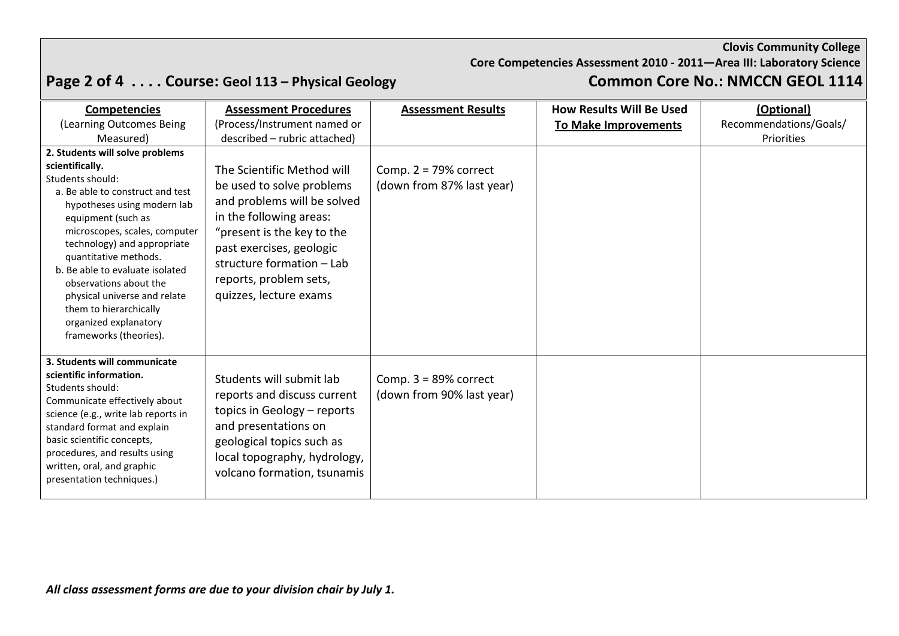**Core Competencies Assessment 2010 - 2011—Area III: Laboratory Science**

# **Page 2 of 4 . . . . Course: Geol 113 – Physical Geology Common Core No.: NMCCN GEOL 1114**

| <b>Competencies</b><br>(Learning Outcomes Being<br>Measured)                                                                                                                                                                                                                                                                                                                                                                       | <b>Assessment Procedures</b><br>(Process/Instrument named or<br>described - rubric attached)                                                                                                                                                                 | <b>Assessment Results</b>                             | <b>How Results Will Be Used</b><br><b>To Make Improvements</b> | (Optional)<br>Recommendations/Goals/<br>Priorities |
|------------------------------------------------------------------------------------------------------------------------------------------------------------------------------------------------------------------------------------------------------------------------------------------------------------------------------------------------------------------------------------------------------------------------------------|--------------------------------------------------------------------------------------------------------------------------------------------------------------------------------------------------------------------------------------------------------------|-------------------------------------------------------|----------------------------------------------------------------|----------------------------------------------------|
| 2. Students will solve problems<br>scientifically.<br>Students should:<br>a. Be able to construct and test<br>hypotheses using modern lab<br>equipment (such as<br>microscopes, scales, computer<br>technology) and appropriate<br>quantitative methods.<br>b. Be able to evaluate isolated<br>observations about the<br>physical universe and relate<br>them to hierarchically<br>organized explanatory<br>frameworks (theories). | The Scientific Method will<br>be used to solve problems<br>and problems will be solved<br>in the following areas:<br>"present is the key to the<br>past exercises, geologic<br>structure formation - Lab<br>reports, problem sets,<br>quizzes, lecture exams | Comp. $2 = 79\%$ correct<br>(down from 87% last year) |                                                                |                                                    |
| 3. Students will communicate<br>scientific information.<br>Students should:<br>Communicate effectively about<br>science (e.g., write lab reports in<br>standard format and explain<br>basic scientific concepts,<br>procedures, and results using<br>written, oral, and graphic<br>presentation techniques.)                                                                                                                       | Students will submit lab<br>reports and discuss current<br>topics in Geology - reports<br>and presentations on<br>geological topics such as<br>local topography, hydrology,<br>volcano formation, tsunamis                                                   | Comp. $3 = 89\%$ correct<br>(down from 90% last year) |                                                                |                                                    |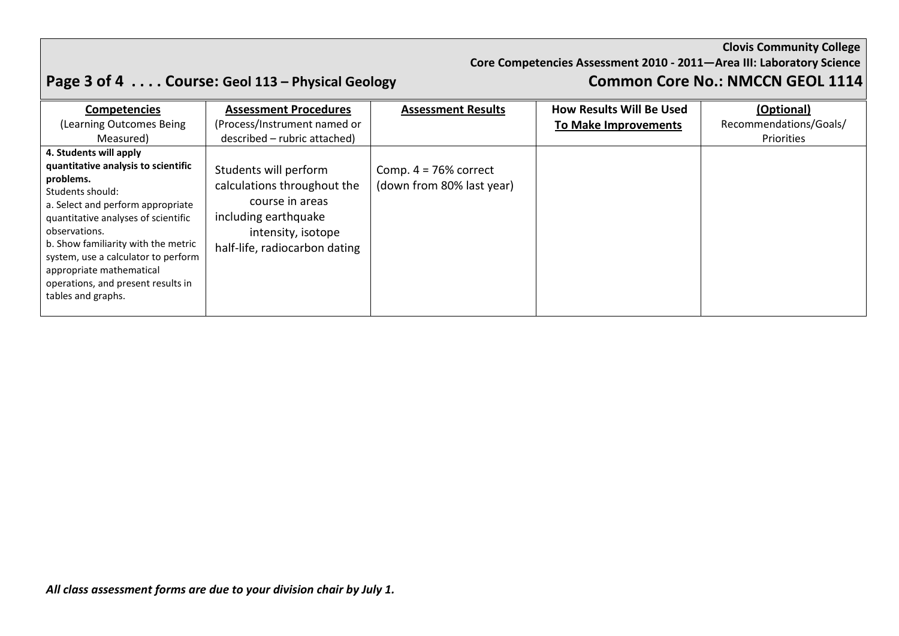### **Core Competencies Assessment 2010 - 2011—Area III: Laboratory Science**

# **Page 3 of 4 . . . . Course: Geol 113 – Physical Geology Common Core No.: NMCCN GEOL 1114**

| <b>Competencies</b>                                                                                                                                                                                                                                                                                                                                                            | <b>Assessment Procedures</b>                                                                                                                                                           | <b>Assessment Results</b>                             | <b>How Results Will Be Used</b> | (Optional)             |
|--------------------------------------------------------------------------------------------------------------------------------------------------------------------------------------------------------------------------------------------------------------------------------------------------------------------------------------------------------------------------------|----------------------------------------------------------------------------------------------------------------------------------------------------------------------------------------|-------------------------------------------------------|---------------------------------|------------------------|
| (Learning Outcomes Being                                                                                                                                                                                                                                                                                                                                                       | (Process/Instrument named or                                                                                                                                                           |                                                       | <b>To Make Improvements</b>     | Recommendations/Goals/ |
| Measured)<br>4. Students will apply<br>quantitative analysis to scientific<br>problems.<br>Students should:<br>a. Select and perform appropriate<br>quantitative analyses of scientific<br>observations.<br>b. Show familiarity with the metric<br>system, use a calculator to perform<br>appropriate mathematical<br>operations, and present results in<br>tables and graphs. | described – rubric attached)<br>Students will perform<br>calculations throughout the<br>course in areas<br>including earthquake<br>intensity, isotope<br>half-life, radiocarbon dating | Comp. $4 = 76\%$ correct<br>(down from 80% last year) |                                 | Priorities             |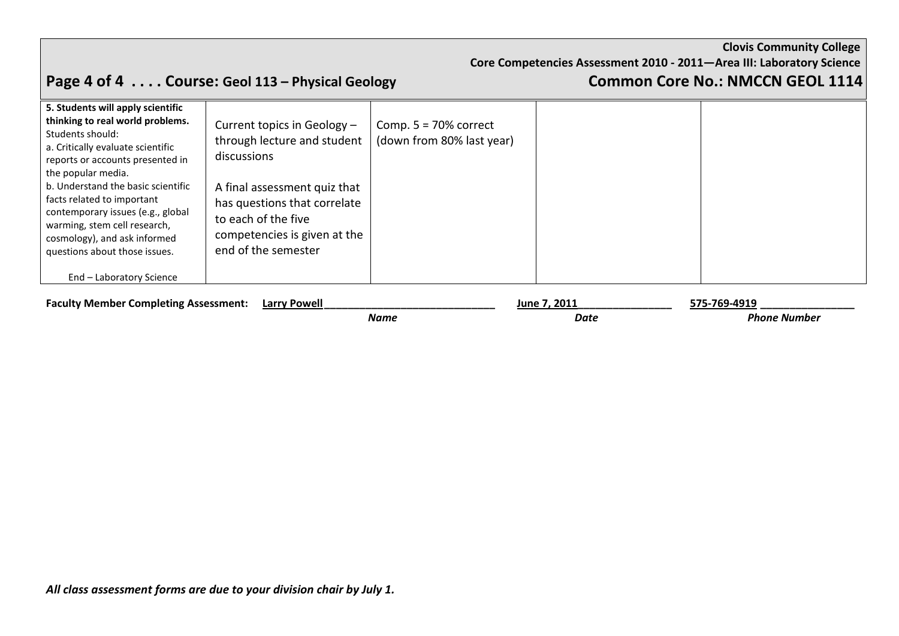**Core Competencies Assessment 2010 - 2011—Area III: Laboratory Science**

# **Page 4 of 4 . . . . Course: Geol 113 – Physical Geology Common Core No.: NMCCN GEOL 1114**

| 5. Students will apply scientific<br>thinking to real world problems.<br>Students should:<br>a. Critically evaluate scientific<br>reports or accounts presented in<br>the popular media.<br>b. Understand the basic scientific<br>facts related to important<br>contemporary issues (e.g., global<br>warming, stem cell research,<br>cosmology), and ask informed<br>questions about those issues. | Current topics in Geology -<br>through lecture and student<br>discussions<br>A final assessment quiz that<br>has questions that correlate<br>to each of the five<br>competencies is given at the<br>end of the semester | Comp. $5 = 70\%$ correct<br>(down from 80% last year) |  |
|----------------------------------------------------------------------------------------------------------------------------------------------------------------------------------------------------------------------------------------------------------------------------------------------------------------------------------------------------------------------------------------------------|-------------------------------------------------------------------------------------------------------------------------------------------------------------------------------------------------------------------------|-------------------------------------------------------|--|
| End - Laboratory Science                                                                                                                                                                                                                                                                                                                                                                           |                                                                                                                                                                                                                         |                                                       |  |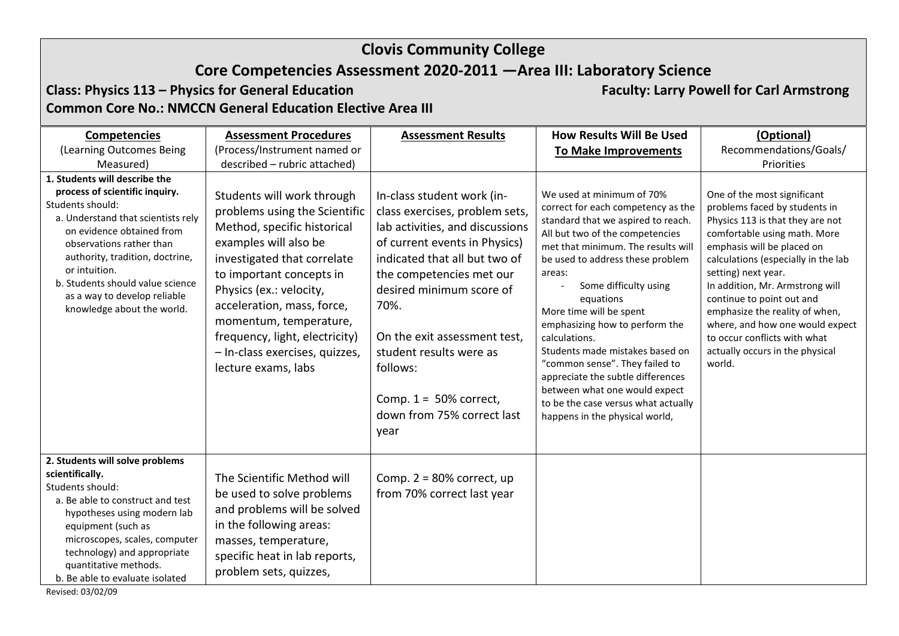## **Core Competencies Assessment 2020-2011 —Area III: Laboratory Science**

**Class: Physics 113 – Physics for General Education Faculty: Larry Powell for Carl Armstrong Common Core No.: NMCCN General Education Elective Area III**

| <b>Competencies</b>                                                                                                                                                                                                                                                                                                                      | <b>Assessment Procedures</b>                                                                                                                                                                                                                                                                                                                                 | <b>Assessment Results</b>                                                                                                                                                                                                                                                                                                                                                   | <b>How Results Will Be Used</b>                                                                                                                                                                                                                                                                                                                                                                                                                                                                                                                                      | (Optional)                                                                                                                                                                                                                                                                                                                                                                                                                                     |
|------------------------------------------------------------------------------------------------------------------------------------------------------------------------------------------------------------------------------------------------------------------------------------------------------------------------------------------|--------------------------------------------------------------------------------------------------------------------------------------------------------------------------------------------------------------------------------------------------------------------------------------------------------------------------------------------------------------|-----------------------------------------------------------------------------------------------------------------------------------------------------------------------------------------------------------------------------------------------------------------------------------------------------------------------------------------------------------------------------|----------------------------------------------------------------------------------------------------------------------------------------------------------------------------------------------------------------------------------------------------------------------------------------------------------------------------------------------------------------------------------------------------------------------------------------------------------------------------------------------------------------------------------------------------------------------|------------------------------------------------------------------------------------------------------------------------------------------------------------------------------------------------------------------------------------------------------------------------------------------------------------------------------------------------------------------------------------------------------------------------------------------------|
| (Learning Outcomes Being                                                                                                                                                                                                                                                                                                                 | (Process/Instrument named or                                                                                                                                                                                                                                                                                                                                 |                                                                                                                                                                                                                                                                                                                                                                             | <b>To Make Improvements</b>                                                                                                                                                                                                                                                                                                                                                                                                                                                                                                                                          | Recommendations/Goals/                                                                                                                                                                                                                                                                                                                                                                                                                         |
| Measured)                                                                                                                                                                                                                                                                                                                                | described - rubric attached)                                                                                                                                                                                                                                                                                                                                 |                                                                                                                                                                                                                                                                                                                                                                             |                                                                                                                                                                                                                                                                                                                                                                                                                                                                                                                                                                      | Priorities                                                                                                                                                                                                                                                                                                                                                                                                                                     |
| 1. Students will describe the<br>process of scientific inquiry.<br>Students should:<br>a. Understand that scientists rely<br>on evidence obtained from<br>observations rather than<br>authority, tradition, doctrine,<br>or intuition.<br>b. Students should value science<br>as a way to develop reliable<br>knowledge about the world. | Students will work through<br>problems using the Scientific<br>Method, specific historical<br>examples will also be<br>investigated that correlate<br>to important concepts in<br>Physics (ex.: velocity,<br>acceleration, mass, force,<br>momentum, temperature,<br>frequency, light, electricity)<br>- In-class exercises, quizzes,<br>lecture exams, labs | In-class student work (in-<br>class exercises, problem sets,<br>lab activities, and discussions<br>of current events in Physics)<br>indicated that all but two of<br>the competencies met our<br>desired minimum score of<br>70%.<br>On the exit assessment test,<br>student results were as<br>follows:<br>Comp. $1 = 50\%$ correct,<br>down from 75% correct last<br>year | We used at minimum of 70%<br>correct for each competency as the<br>standard that we aspired to reach.<br>All but two of the competencies<br>met that minimum. The results will<br>be used to address these problem<br>areas:<br>Some difficulty using<br>equations<br>More time will be spent<br>emphasizing how to perform the<br>calculations.<br>Students made mistakes based on<br>"common sense". They failed to<br>appreciate the subtle differences<br>between what one would expect<br>to be the case versus what actually<br>happens in the physical world, | One of the most significant<br>problems faced by students in<br>Physics 113 is that they are not<br>comfortable using math. More<br>emphasis will be placed on<br>calculations (especially in the lab<br>setting) next year.<br>In addition, Mr. Armstrong will<br>continue to point out and<br>emphasize the reality of when,<br>where, and how one would expect<br>to occur conflicts with what<br>actually occurs in the physical<br>world. |
| 2. Students will solve problems<br>scientifically.<br>Students should:<br>a. Be able to construct and test<br>hypotheses using modern lab<br>equipment (such as<br>microscopes, scales, computer<br>technology) and appropriate<br>quantitative methods.<br>b. Be able to evaluate isolated                                              | The Scientific Method will<br>be used to solve problems<br>and problems will be solved<br>in the following areas:<br>masses, temperature,<br>specific heat in lab reports,<br>problem sets, quizzes,                                                                                                                                                         | Comp. $2 = 80\%$ correct, up<br>from 70% correct last year                                                                                                                                                                                                                                                                                                                  |                                                                                                                                                                                                                                                                                                                                                                                                                                                                                                                                                                      |                                                                                                                                                                                                                                                                                                                                                                                                                                                |

Revised: 03/02/09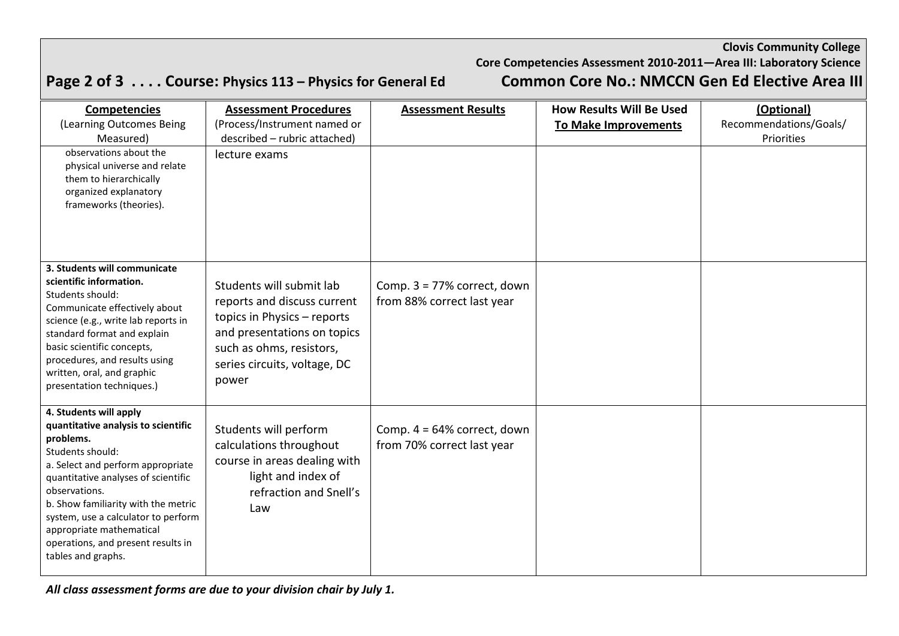# **Core Competencies Assessment 2010-2011—Area III: Laboratory Science**

|  | Page 2 of 3 Course: Physics 113 – Physics for General Ed |  |  |  |
|--|----------------------------------------------------------|--|--|--|
|--|----------------------------------------------------------|--|--|--|

## **Common Core No.: NMCCN Gen Ed Elective Area III**

| <b>Competencies</b>                                         | <b>Assessment Procedures</b> | <b>Assessment Results</b>      | <b>How Results Will Be Used</b> | (Optional)             |
|-------------------------------------------------------------|------------------------------|--------------------------------|---------------------------------|------------------------|
| (Learning Outcomes Being                                    | (Process/Instrument named or |                                | <b>To Make Improvements</b>     | Recommendations/Goals/ |
| Measured)                                                   | described - rubric attached) |                                |                                 | Priorities             |
| observations about the                                      | lecture exams                |                                |                                 |                        |
| physical universe and relate                                |                              |                                |                                 |                        |
| them to hierarchically<br>organized explanatory             |                              |                                |                                 |                        |
| frameworks (theories).                                      |                              |                                |                                 |                        |
|                                                             |                              |                                |                                 |                        |
|                                                             |                              |                                |                                 |                        |
|                                                             |                              |                                |                                 |                        |
| 3. Students will communicate                                |                              |                                |                                 |                        |
| scientific information.                                     |                              |                                |                                 |                        |
| Students should:                                            | Students will submit lab     | Comp. $3 = 77\%$ correct, down |                                 |                        |
| Communicate effectively about                               | reports and discuss current  | from 88% correct last year     |                                 |                        |
| science (e.g., write lab reports in                         | topics in Physics - reports  |                                |                                 |                        |
| standard format and explain                                 | and presentations on topics  |                                |                                 |                        |
| basic scientific concepts,                                  | such as ohms, resistors,     |                                |                                 |                        |
| procedures, and results using<br>written, oral, and graphic | series circuits, voltage, DC |                                |                                 |                        |
| presentation techniques.)                                   | power                        |                                |                                 |                        |
|                                                             |                              |                                |                                 |                        |
| 4. Students will apply                                      |                              |                                |                                 |                        |
| quantitative analysis to scientific                         | Students will perform        | Comp. $4 = 64\%$ correct, down |                                 |                        |
| problems.<br>Students should:                               | calculations throughout      | from 70% correct last year     |                                 |                        |
| a. Select and perform appropriate                           | course in areas dealing with |                                |                                 |                        |
| quantitative analyses of scientific                         | light and index of           |                                |                                 |                        |
| observations.                                               | refraction and Snell's       |                                |                                 |                        |
| b. Show familiarity with the metric                         | Law                          |                                |                                 |                        |
| system, use a calculator to perform                         |                              |                                |                                 |                        |
| appropriate mathematical                                    |                              |                                |                                 |                        |
| operations, and present results in<br>tables and graphs.    |                              |                                |                                 |                        |
|                                                             |                              |                                |                                 |                        |

*All class assessment forms are due to your division chair by July 1.*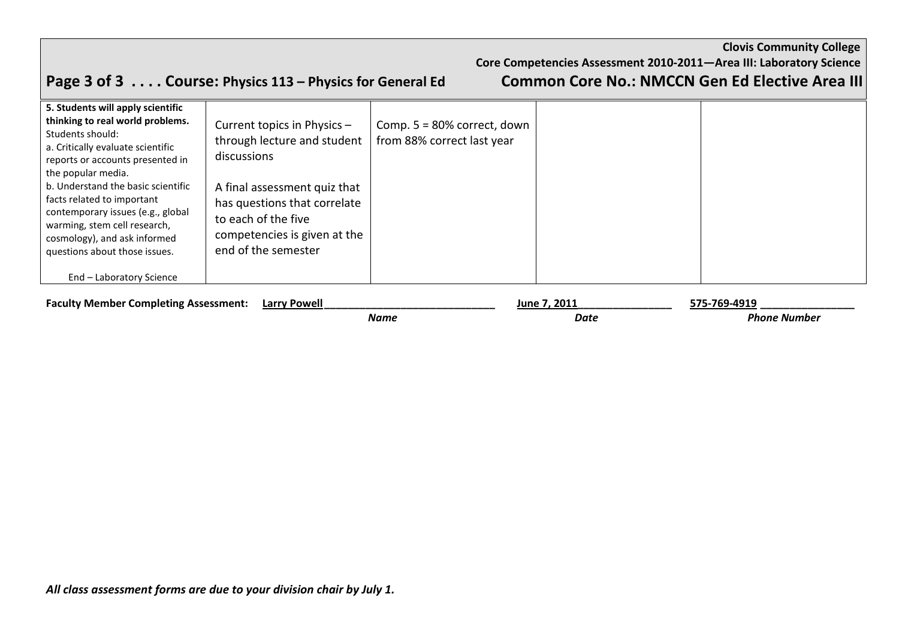**Core Competencies Assessment 2010-2011—Area III: Laboratory Science**

# **Page 3 of 3 . . . . Course: Physics 113 – Physics for General Ed Common Core No.: NMCCN Gen Ed Elective Area III**

| 5. Students will apply scientific<br>thinking to real world problems.<br>Students should:<br>a. Critically evaluate scientific<br>reports or accounts presented in<br>the popular media.<br>b. Understand the basic scientific<br>facts related to important<br>contemporary issues (e.g., global<br>warming, stem cell research,<br>cosmology), and ask informed<br>questions about those issues. | Current topics in Physics -<br>through lecture and student<br>discussions<br>A final assessment quiz that<br>has questions that correlate<br>to each of the five<br>competencies is given at the<br>end of the semester | Comp. $5 = 80\%$ correct, down<br>from 88% correct last year |  |
|----------------------------------------------------------------------------------------------------------------------------------------------------------------------------------------------------------------------------------------------------------------------------------------------------------------------------------------------------------------------------------------------------|-------------------------------------------------------------------------------------------------------------------------------------------------------------------------------------------------------------------------|--------------------------------------------------------------|--|
| End - Laboratory Science                                                                                                                                                                                                                                                                                                                                                                           |                                                                                                                                                                                                                         |                                                              |  |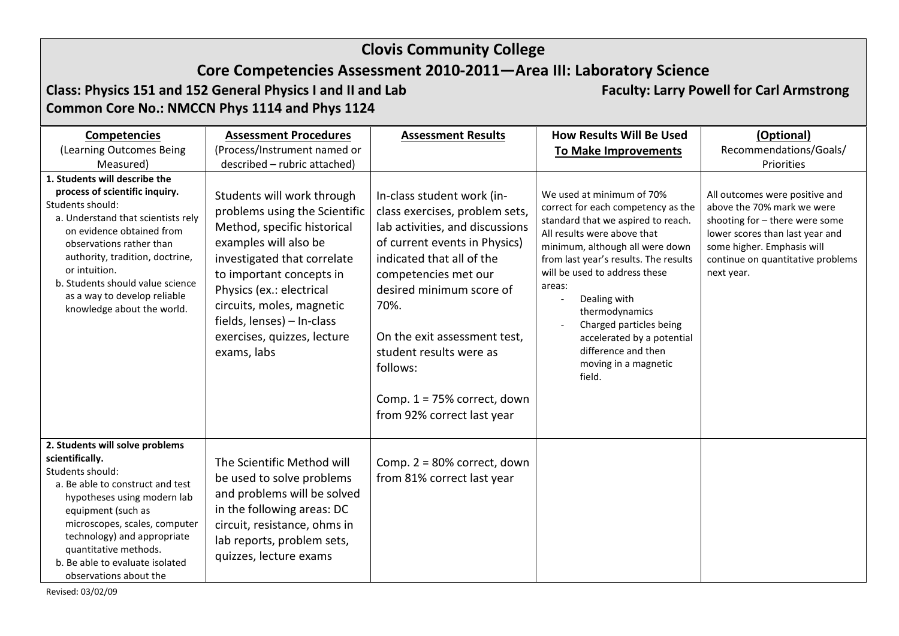## **Core Competencies Assessment 2010-2011—Area III: Laboratory Science**

**Class: Physics 151 and 152 General Physics I and II and Lab Faculty: Larry Powell for Carl Armstrong Common Core No.: NMCCN Phys 1114 and Phys 1124**

| <b>Competencies</b>                                                                                                                                                                                                                                                                                                                      | <b>Assessment Procedures</b>                                                                                                                                                                                                                                                                                        | <b>Assessment Results</b>                                                                                                                                                                                                                                                                                                                                       | <b>How Results Will Be Used</b>                                                                                                                                                                                                                                                                                                                                                                                 | (Optional)                                                                                                                                                                                                         |
|------------------------------------------------------------------------------------------------------------------------------------------------------------------------------------------------------------------------------------------------------------------------------------------------------------------------------------------|---------------------------------------------------------------------------------------------------------------------------------------------------------------------------------------------------------------------------------------------------------------------------------------------------------------------|-----------------------------------------------------------------------------------------------------------------------------------------------------------------------------------------------------------------------------------------------------------------------------------------------------------------------------------------------------------------|-----------------------------------------------------------------------------------------------------------------------------------------------------------------------------------------------------------------------------------------------------------------------------------------------------------------------------------------------------------------------------------------------------------------|--------------------------------------------------------------------------------------------------------------------------------------------------------------------------------------------------------------------|
| (Learning Outcomes Being                                                                                                                                                                                                                                                                                                                 | (Process/Instrument named or                                                                                                                                                                                                                                                                                        |                                                                                                                                                                                                                                                                                                                                                                 | <b>To Make Improvements</b>                                                                                                                                                                                                                                                                                                                                                                                     | Recommendations/Goals/                                                                                                                                                                                             |
| Measured)                                                                                                                                                                                                                                                                                                                                | described - rubric attached)                                                                                                                                                                                                                                                                                        |                                                                                                                                                                                                                                                                                                                                                                 |                                                                                                                                                                                                                                                                                                                                                                                                                 | Priorities                                                                                                                                                                                                         |
| 1. Students will describe the<br>process of scientific inquiry.<br>Students should:<br>a. Understand that scientists rely<br>on evidence obtained from<br>observations rather than<br>authority, tradition, doctrine,<br>or intuition.<br>b. Students should value science<br>as a way to develop reliable<br>knowledge about the world. | Students will work through<br>problems using the Scientific<br>Method, specific historical<br>examples will also be<br>investigated that correlate<br>to important concepts in<br>Physics (ex.: electrical<br>circuits, moles, magnetic<br>fields, lenses) - In-class<br>exercises, quizzes, lecture<br>exams, labs | In-class student work (in-<br>class exercises, problem sets,<br>lab activities, and discussions<br>of current events in Physics)<br>indicated that all of the<br>competencies met our<br>desired minimum score of<br>70%.<br>On the exit assessment test,<br>student results were as<br>follows:<br>Comp. $1 = 75%$ correct, down<br>from 92% correct last year | We used at minimum of 70%<br>correct for each competency as the<br>standard that we aspired to reach.<br>All results were above that<br>minimum, although all were down<br>from last year's results. The results<br>will be used to address these<br>areas:<br>Dealing with<br>thermodynamics<br>Charged particles being<br>accelerated by a potential<br>difference and then<br>moving in a magnetic<br>field. | All outcomes were positive and<br>above the 70% mark we were<br>shooting for - there were some<br>lower scores than last year and<br>some higher. Emphasis will<br>continue on quantitative problems<br>next year. |
| 2. Students will solve problems<br>scientifically.<br>Students should:<br>a. Be able to construct and test<br>hypotheses using modern lab<br>equipment (such as<br>microscopes, scales, computer<br>technology) and appropriate<br>quantitative methods.<br>b. Be able to evaluate isolated<br>observations about the                    | The Scientific Method will<br>be used to solve problems<br>and problems will be solved<br>in the following areas: DC<br>circuit, resistance, ohms in<br>lab reports, problem sets,<br>quizzes, lecture exams                                                                                                        | Comp. $2 = 80\%$ correct, down<br>from 81% correct last year                                                                                                                                                                                                                                                                                                    |                                                                                                                                                                                                                                                                                                                                                                                                                 |                                                                                                                                                                                                                    |

Revised: 03/02/09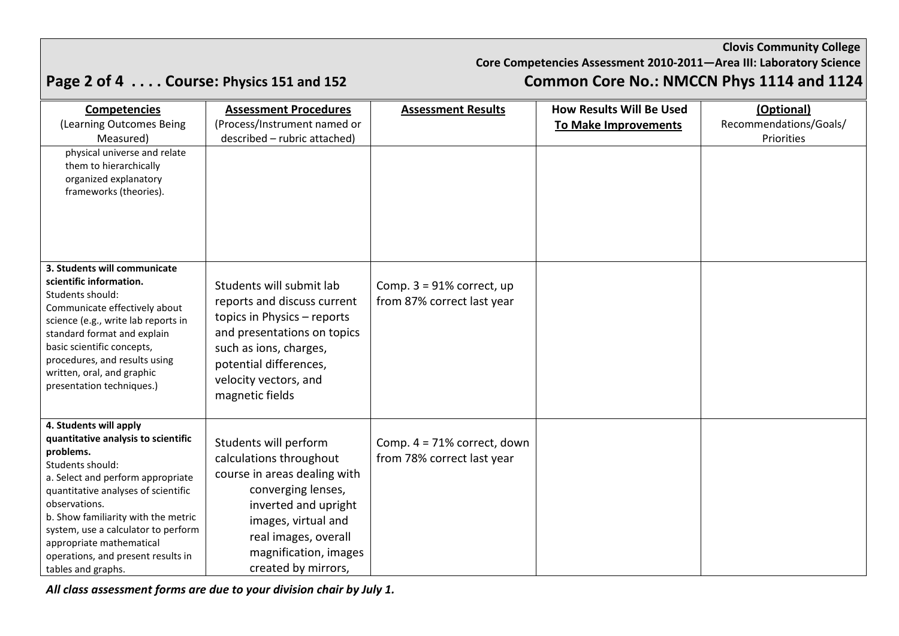### **Core Competencies Assessment 2010-2011—Area III: Laboratory Science**

# **Page 2 of 4 . . . . Course: Physics 151 and 152 Common Core No.: NMCCN Phys 1114 and 1124**

| <b>Competencies</b>                                                  | <b>Assessment Procedures</b> | <b>Assessment Results</b>      | <b>How Results Will Be Used</b> | (Optional)             |
|----------------------------------------------------------------------|------------------------------|--------------------------------|---------------------------------|------------------------|
| (Learning Outcomes Being                                             | (Process/Instrument named or |                                | <b>To Make Improvements</b>     | Recommendations/Goals/ |
| Measured)                                                            | described - rubric attached) |                                |                                 | Priorities             |
| physical universe and relate                                         |                              |                                |                                 |                        |
| them to hierarchically                                               |                              |                                |                                 |                        |
| organized explanatory                                                |                              |                                |                                 |                        |
| frameworks (theories).                                               |                              |                                |                                 |                        |
|                                                                      |                              |                                |                                 |                        |
|                                                                      |                              |                                |                                 |                        |
|                                                                      |                              |                                |                                 |                        |
|                                                                      |                              |                                |                                 |                        |
| 3. Students will communicate                                         |                              |                                |                                 |                        |
| scientific information.                                              | Students will submit lab     | Comp. $3 = 91\%$ correct, up   |                                 |                        |
| Students should:                                                     | reports and discuss current  | from 87% correct last year     |                                 |                        |
| Communicate effectively about<br>science (e.g., write lab reports in | topics in Physics - reports  |                                |                                 |                        |
| standard format and explain                                          | and presentations on topics  |                                |                                 |                        |
| basic scientific concepts,                                           | such as ions, charges,       |                                |                                 |                        |
| procedures, and results using                                        | potential differences,       |                                |                                 |                        |
| written, oral, and graphic                                           | velocity vectors, and        |                                |                                 |                        |
| presentation techniques.)                                            | magnetic fields              |                                |                                 |                        |
|                                                                      |                              |                                |                                 |                        |
| 4. Students will apply                                               |                              |                                |                                 |                        |
| quantitative analysis to scientific                                  | Students will perform        | Comp. $4 = 71\%$ correct, down |                                 |                        |
| problems.                                                            | calculations throughout      | from 78% correct last year     |                                 |                        |
| Students should:                                                     |                              |                                |                                 |                        |
| a. Select and perform appropriate                                    | course in areas dealing with |                                |                                 |                        |
| quantitative analyses of scientific                                  | converging lenses,           |                                |                                 |                        |
| observations.<br>b. Show familiarity with the metric                 | inverted and upright         |                                |                                 |                        |
| system, use a calculator to perform                                  | images, virtual and          |                                |                                 |                        |
| appropriate mathematical                                             | real images, overall         |                                |                                 |                        |
| operations, and present results in                                   | magnification, images        |                                |                                 |                        |
| tables and graphs.                                                   | created by mirrors,          |                                |                                 |                        |

*All class assessment forms are due to your division chair by July 1.*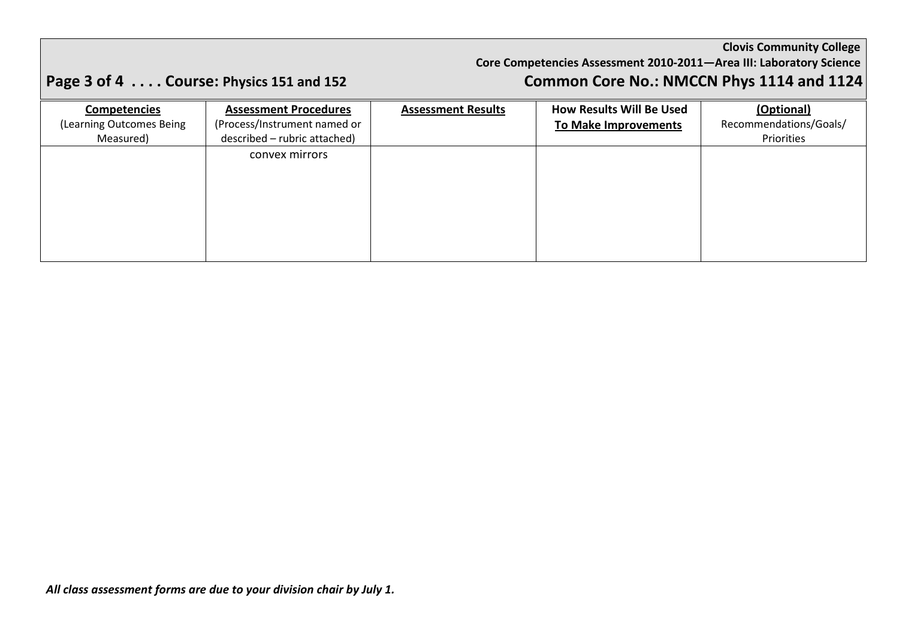### **Core Competencies Assessment 2010-2011—Area III: Laboratory Science**

# **Page 3 of 4 . . . . Course: Physics 151 and 152 Common Core No.: NMCCN Phys 1114 and 1124**

| <b>Competencies</b>      | <b>Assessment Procedures</b> | <b>Assessment Results</b> | <b>How Results Will Be Used</b> | (Optional)             |
|--------------------------|------------------------------|---------------------------|---------------------------------|------------------------|
| (Learning Outcomes Being | (Process/Instrument named or |                           | To Make Improvements            | Recommendations/Goals/ |
| Measured)                | described - rubric attached) |                           |                                 | Priorities             |
|                          | convex mirrors               |                           |                                 |                        |
|                          |                              |                           |                                 |                        |
|                          |                              |                           |                                 |                        |
|                          |                              |                           |                                 |                        |
|                          |                              |                           |                                 |                        |
|                          |                              |                           |                                 |                        |
|                          |                              |                           |                                 |                        |
|                          |                              |                           |                                 |                        |